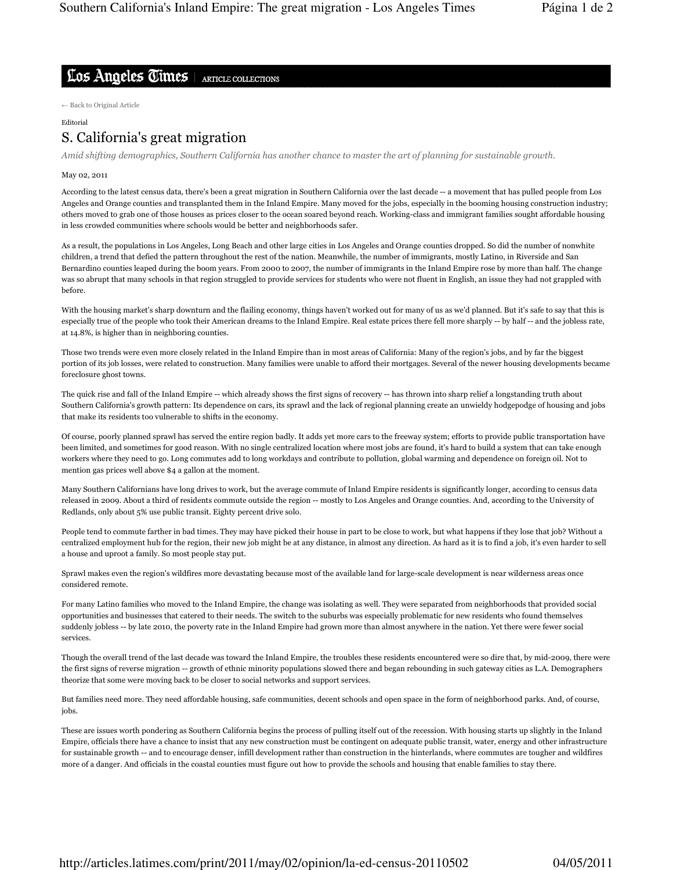## Los Angeles Times | ARTICLE COLLECTIONS

← Back to Original Article

Editorial

## S. California's great migration

Amid shifting demographics, Southern California has another chance to master the art of planning for sustainable growth.

## May 02, 2011

According to the latest census data, there's been a great migration in Southern California over the last decade -- a movement that has pulled people from Los Angeles and Orange counties and transplanted them in the Inland Empire. Many moved for the jobs, especially in the booming housing construction industry; others moved to grab one of those houses as prices closer to the ocean soared beyond reach. Working-class and immigrant families sought affordable housing in less crowded communities where schools would be better and neighborhoods safer.

As a result, the populations in Los Angeles, Long Beach and other large cities in Los Angeles and Orange counties dropped. So did the number of nonwhite children, a trend that defied the pattern throughout the rest of the nation. Meanwhile, the number of immigrants, mostly Latino, in Riverside and San Bernardino counties leaped during the boom years. From 2000 to 2007, the number of immigrants in the Inland Empire rose by more than half. The change was so abrupt that many schools in that region struggled to provide services for students who were not fluent in English, an issue they had not grappled with before.

With the housing market's sharp downturn and the flailing economy, things haven't worked out for many of us as we'd planned. But it's safe to say that this is especially true of the people who took their American dreams to the Inland Empire. Real estate prices there fell more sharply -- by half -- and the jobless rate, at 14.8%, is higher than in neighboring counties.

Those two trends were even more closely related in the Inland Empire than in most areas of California: Many of the region's jobs, and by far the biggest portion of its job losses, were related to construction. Many families were unable to afford their mortgages. Several of the newer housing developments became foreclosure ghost towns.

The quick rise and fall of the Inland Empire -- which already shows the first signs of recovery -- has thrown into sharp relief a longstanding truth about Southern California's growth pattern: Its dependence on cars, its sprawl and the lack of regional planning create an unwieldy hodgepodge of housing and jobs that make its residents too vulnerable to shifts in the economy.

Of course, poorly planned sprawl has served the entire region badly. It adds yet more cars to the freeway system; efforts to provide public transportation have been limited, and sometimes for good reason. With no single centralized location where most jobs are found, it's hard to build a system that can take enough workers where they need to go. Long commutes add to long workdays and contribute to pollution, global warming and dependence on foreign oil. Not to mention gas prices well above \$4 a gallon at the moment.

Many Southern Californians have long drives to work, but the average commute of Inland Empire residents is significantly longer, according to census data released in 2009. About a third of residents commute outside the region -- mostly to Los Angeles and Orange counties. And, according to the University of Redlands, only about 5% use public transit. Eighty percent drive solo.

People tend to commute farther in bad times. They may have picked their house in part to be close to work, but what happens if they lose that job? Without a centralized employment hub for the region, their new job might be at any distance, in almost any direction. As hard as it is to find a job, it's even harder to sell a house and uproot a family. So most people stay put.

Sprawl makes even the region's wildfires more devastating because most of the available land for large-scale development is near wilderness areas once considered remote.

For many Latino families who moved to the Inland Empire, the change was isolating as well. They were separated from neighborhoods that provided social opportunities and businesses that catered to their needs. The switch to the suburbs was especially problematic for new residents who found themselves suddenly jobless -- by late 2010, the poverty rate in the Inland Empire had grown more than almost anywhere in the nation. Yet there were fewer social services.

Though the overall trend of the last decade was toward the Inland Empire, the troubles these residents encountered were so dire that, by mid-2009, there were the first signs of reverse migration -- growth of ethnic minority populations slowed there and began rebounding in such gateway cities as L.A. Demographers theorize that some were moving back to be closer to social networks and support services.

But families need more. They need affordable housing, safe communities, decent schools and open space in the form of neighborhood parks. And, of course, jobs.

These are issues worth pondering as Southern California begins the process of pulling itself out of the recession. With housing starts up slightly in the Inland Empire, officials there have a chance to insist that any new construction must be contingent on adequate public transit, water, energy and other infrastructure for sustainable growth -- and to encourage denser, infill development rather than construction in the hinterlands, where commutes are tougher and wildfires more of a danger. And officials in the coastal counties must figure out how to provide the schools and housing that enable families to stay there.